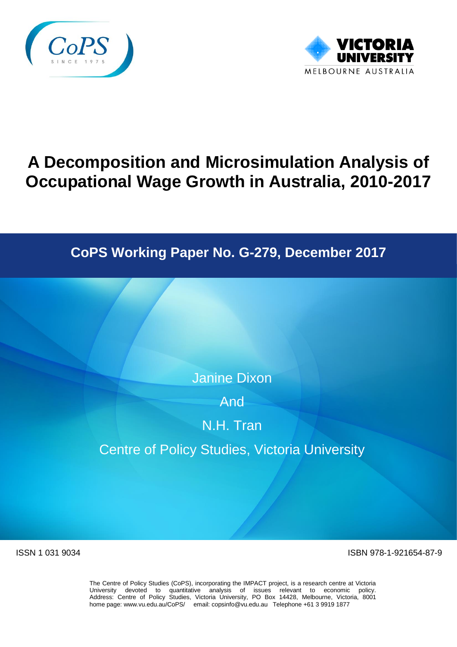



# **A Decomposition and Microsimulation Analysis of Occupational Wage Growth in Australia, 2010-2017**

# **CoPS Working Paper No. G-279, December 2017**

Janine Dixon

And

N.H. Tran

Centre of Policy Studies, Victoria University

ISSN 1 031 9034 ISBN 978-1-921654-87-9

The Centre of Policy Studies (CoPS), incorporating the IMPACT project, is a research centre at Victoria University devoted to quantitative analysis of issues relevant to economic policy. Address: Centre of Policy Studies, Victoria University, PO Box 14428, Melbourne, Victoria, 8001 home page: www.vu.edu.au/CoPS/ email: copsinfo@vu.edu.au Telephone +61 3 9919 1877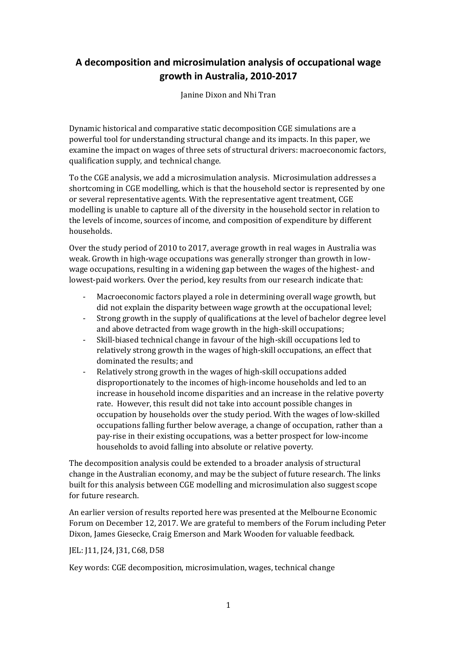# **A decomposition and microsimulation analysis of occupational wage growth in Australia, 2010-2017**

Janine Dixon and Nhi Tran

Dynamic historical and comparative static decomposition CGE simulations are a powerful tool for understanding structural change and its impacts. In this paper, we examine the impact on wages of three sets of structural drivers: macroeconomic factors, qualification supply, and technical change.

To the CGE analysis, we add a microsimulation analysis. Microsimulation addresses a shortcoming in CGE modelling, which is that the household sector is represented by one or several representative agents. With the representative agent treatment, CGE modelling is unable to capture all of the diversity in the household sector in relation to the levels of income, sources of income, and composition of expenditure by different households.

Over the study period of 2010 to 2017, average growth in real wages in Australia was weak. Growth in high-wage occupations was generally stronger than growth in lowwage occupations, resulting in a widening gap between the wages of the highest- and lowest-paid workers. Over the period, key results from our research indicate that:

- Macroeconomic factors played a role in determining overall wage growth, but did not explain the disparity between wage growth at the occupational level;
- Strong growth in the supply of qualifications at the level of bachelor degree level and above detracted from wage growth in the high-skill occupations;
- Skill-biased technical change in favour of the high-skill occupations led to relatively strong growth in the wages of high-skill occupations, an effect that dominated the results; and
- Relatively strong growth in the wages of high-skill occupations added disproportionately to the incomes of high-income households and led to an increase in household income disparities and an increase in the relative poverty rate. However, this result did not take into account possible changes in occupation by households over the study period. With the wages of low-skilled occupations falling further below average, a change of occupation, rather than a pay-rise in their existing occupations, was a better prospect for low-income households to avoid falling into absolute or relative poverty.

The decomposition analysis could be extended to a broader analysis of structural change in the Australian economy, and may be the subject of future research. The links built for this analysis between CGE modelling and microsimulation also suggest scope for future research.

An earlier version of results reported here was presented at the Melbourne Economic Forum on December 12, 2017. We are grateful to members of the Forum including Peter Dixon, James Giesecke, Craig Emerson and Mark Wooden for valuable feedback.

#### JEL: J11, J24, J31, C68, D58

Key words: CGE decomposition, microsimulation, wages, technical change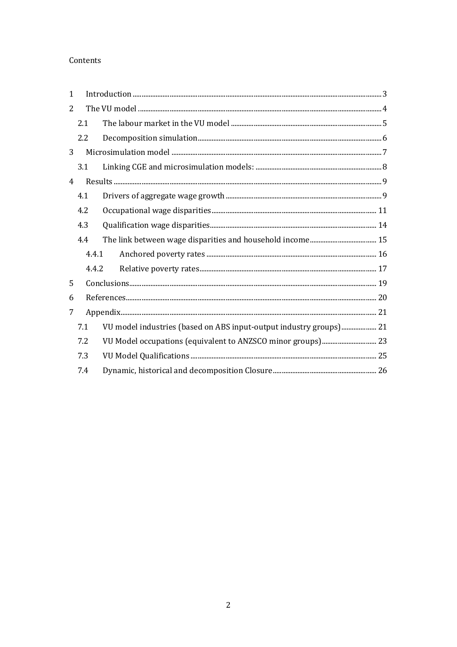#### Contents

| $\mathbf{1}$   |       |                                                                    |  |
|----------------|-------|--------------------------------------------------------------------|--|
| 2              |       |                                                                    |  |
|                | 2.1   |                                                                    |  |
|                | 2.2   |                                                                    |  |
| 3              |       |                                                                    |  |
|                | 3.1   |                                                                    |  |
| $\overline{4}$ |       |                                                                    |  |
|                | 4.1   |                                                                    |  |
|                | 4.2   |                                                                    |  |
|                | 4.3   |                                                                    |  |
|                | 4.4   |                                                                    |  |
|                | 4.4.1 |                                                                    |  |
|                | 4.4.2 |                                                                    |  |
| 5              |       |                                                                    |  |
| 6              |       |                                                                    |  |
| 7              |       |                                                                    |  |
|                | 7.1   | VU model industries (based on ABS input-output industry groups) 21 |  |
|                | 7.2   | VU Model occupations (equivalent to ANZSCO minor groups) 23        |  |
|                | 7.3   |                                                                    |  |
|                | 7.4   |                                                                    |  |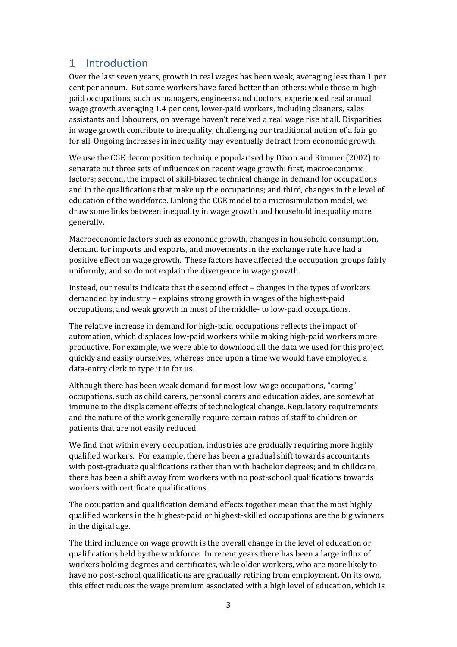# <span id="page-4-0"></span>1 Introduction

Over the last seven years, growth in real wages has been weak, averaging less than 1 per cent per annum. But some workers have fared better than others: while those in highpaid occupations, such as managers, engineers and doctors, experienced real annual wage growth averaging 1.4 per cent, lower-paid workers, including cleaners, sales assistants and labourers, on average haven't received a real wage rise at all. Disparities in wage growth contribute to inequality, challenging our traditional notion of a fair go for all. Ongoing increases in inequality may eventually detract from economic growth.

We use the CGE decomposition technique popularised by Dixon and Rimmer (2002) to separate out three sets of influences on recent wage growth: first, macroeconomic factors; second, the impact of skill-biased technical change in demand for occupations and in the qualifications that make up the occupations; and third, changes in the level of education of the workforce. Linking the CGE model to a microsimulation model, we draw some links between inequality in wage growth and household inequality more generally.

Macroeconomic factors such as economic growth, changes in household consumption, demand for imports and exports, and movements in the exchange rate have had a positive effect on wage growth. These factors have affected the occupation groups fairly uniformly, and so do not explain the divergence in wage growth.

Instead, our results indicate that the second effect – changes in the types of workers demanded by industry – explains strong growth in wages of the highest-paid occupations, and weak growth in most of the middle- to low-paid occupations.

The relative increase in demand for high-paid occupations reflects the impact of automation, which displaces low-paid workers while making high-paid workers more productive. For example, we were able to download all the data we used for this project quickly and easily ourselves, whereas once upon a time we would have employed a data-entry clerk to type it in for us.

Although there has been weak demand for most low-wage occupations, "caring" occupations, such as child carers, personal carers and education aides, are somewhat immune to the displacement effects of technological change. Regulatory requirements and the nature of the work generally require certain ratios of staff to children or patients that are not easily reduced.

We find that within every occupation, industries are gradually requiring more highly qualified workers. For example, there has been a gradual shift towards accountants with post-graduate qualifications rather than with bachelor degrees; and in childcare, there has been a shift away from workers with no post-school qualifications towards workers with certificate qualifications.

The occupation and qualification demand effects together mean that the most highly qualified workers in the highest-paid or highest-skilled occupations are the big winners in the digital age.

The third influence on wage growth is the overall change in the level of education or qualifications held by the workforce. In recent years there has been a large influx of workers holding degrees and certificates, while older workers, who are more likely to have no post-school qualifications are gradually retiring from employment. On its own, this effect reduces the wage premium associated with a high level of education, which is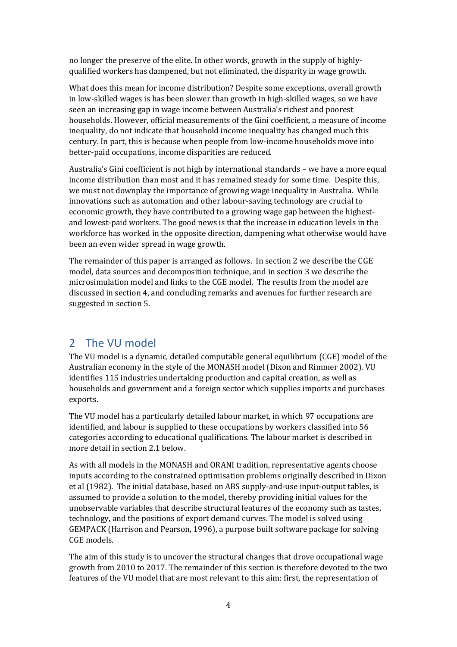no longer the preserve of the elite. In other words, growth in the supply of highlyqualified workers has dampened, but not eliminated, the disparity in wage growth.

What does this mean for income distribution? Despite some exceptions, overall growth in low-skilled wages is has been slower than growth in high-skilled wages, so we have seen an increasing gap in wage income between Australia's richest and poorest households. However, official measurements of the Gini coefficient, a measure of income inequality, do not indicate that household income inequality has changed much this century. In part, this is because when people from low-income households move into better-paid occupations, income disparities are reduced.

Australia's Gini coefficient is not high by international standards – we have a more equal income distribution than most and it has remained steady for some time. Despite this, we must not downplay the importance of growing wage inequality in Australia. While innovations such as automation and other labour-saving technology are crucial to economic growth, they have contributed to a growing wage gap between the highestand lowest-paid workers. The good news is that the increase in education levels in the workforce has worked in the opposite direction, dampening what otherwise would have been an even wider spread in wage growth.

The remainder of this paper is arranged as follows. In section 2 we describe the CGE model, data sources and decomposition technique, and in section 3 we describe the microsimulation model and links to the CGE model. The results from the model are discussed in section 4, and concluding remarks and avenues for further research are suggested in section 5.

# <span id="page-5-0"></span>2 The VU model

The VU model is a dynamic, detailed computable general equilibrium (CGE) model of the Australian economy in the style of the MONASH model (Dixon and Rimmer 2002). VU identifies 115 industries undertaking production and capital creation, as well as households and government and a foreign sector which supplies imports and purchases exports.

The VU model has a particularly detailed labour market, in which 97 occupations are identified, and labour is supplied to these occupations by workers classified into 56 categories according to educational qualifications. The labour market is described in more detail in section 2.1 below.

As with all models in the MONASH and ORANI tradition, representative agents choose inputs according to the constrained optimisation problems originally described in Dixon et al (1982). The initial database, based on ABS supply-and-use input-output tables, is assumed to provide a solution to the model, thereby providing initial values for the unobservable variables that describe structural features of the economy such as tastes, technology, and the positions of export demand curves. The model is solved using GEMPACK (Harrison and Pearson, 1996), a purpose built software package for solving CGE models.

The aim of this study is to uncover the structural changes that drove occupational wage growth from 2010 to 2017. The remainder of this section is therefore devoted to the two features of the VU model that are most relevant to this aim: first, the representation of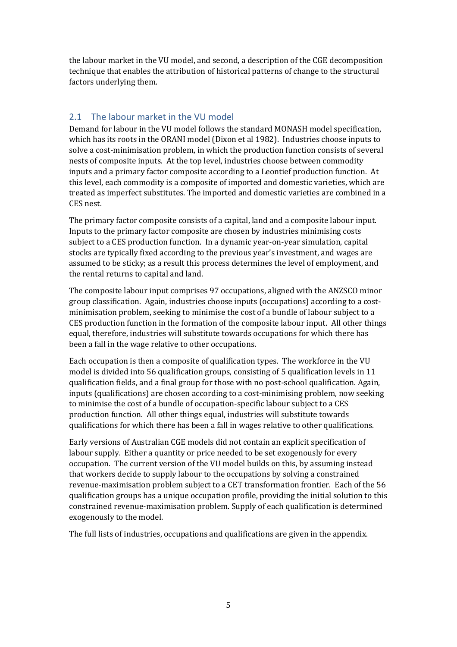the labour market in the VU model, and second, a description of the CGE decomposition technique that enables the attribution of historical patterns of change to the structural factors underlying them.

#### <span id="page-6-0"></span>2.1 The labour market in the VU model

Demand for labour in the VU model follows the standard MONASH model specification, which has its roots in the ORANI model (Dixon et al 1982). Industries choose inputs to solve a cost-minimisation problem, in which the production function consists of several nests of composite inputs. At the top level, industries choose between commodity inputs and a primary factor composite according to a Leontief production function. At this level, each commodity is a composite of imported and domestic varieties, which are treated as imperfect substitutes. The imported and domestic varieties are combined in a CES nest.

The primary factor composite consists of a capital, land and a composite labour input. Inputs to the primary factor composite are chosen by industries minimising costs subject to a CES production function. In a dynamic year-on-year simulation, capital stocks are typically fixed according to the previous year's investment, and wages are assumed to be sticky; as a result this process determines the level of employment, and the rental returns to capital and land.

The composite labour input comprises 97 occupations, aligned with the ANZSCO minor group classification. Again, industries choose inputs (occupations) according to a costminimisation problem, seeking to minimise the cost of a bundle of labour subject to a CES production function in the formation of the composite labour input. All other things equal, therefore, industries will substitute towards occupations for which there has been a fall in the wage relative to other occupations.

Each occupation is then a composite of qualification types. The workforce in the VU model is divided into 56 qualification groups, consisting of 5 qualification levels in 11 qualification fields, and a final group for those with no post-school qualification. Again, inputs (qualifications) are chosen according to a cost-minimising problem, now seeking to minimise the cost of a bundle of occupation-specific labour subject to a CES production function. All other things equal, industries will substitute towards qualifications for which there has been a fall in wages relative to other qualifications.

Early versions of Australian CGE models did not contain an explicit specification of labour supply. Either a quantity or price needed to be set exogenously for every occupation. The current version of the VU model builds on this, by assuming instead that workers decide to supply labour to the occupations by solving a constrained revenue-maximisation problem subject to a CET transformation frontier. Each of the 56 qualification groups has a unique occupation profile, providing the initial solution to this constrained revenue-maximisation problem. Supply of each qualification is determined exogenously to the model.

The full lists of industries, occupations and qualifications are given in the appendix.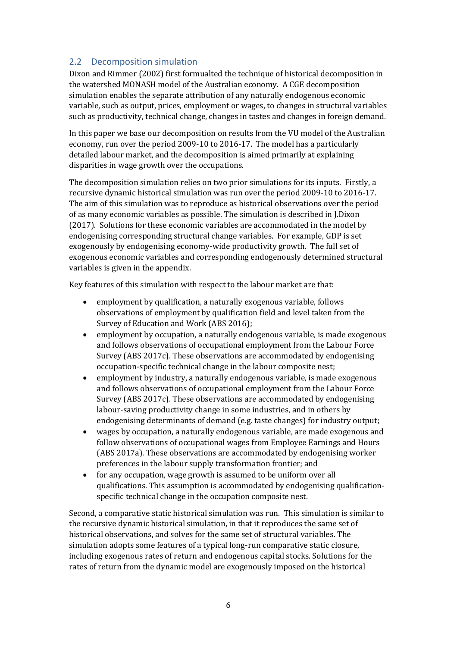#### <span id="page-7-0"></span>2.2 Decomposition simulation

Dixon and Rimmer (2002) first formualted the technique of historical decomposition in the watershed MONASH model of the Australian economy. A CGE decomposition simulation enables the separate attribution of any naturally endogenous economic variable, such as output, prices, employment or wages, to changes in structural variables such as productivity, technical change, changes in tastes and changes in foreign demand.

In this paper we base our decomposition on results from the VU model of the Australian economy, run over the period 2009-10 to 2016-17. The model has a particularly detailed labour market, and the decomposition is aimed primarily at explaining disparities in wage growth over the occupations.

The decomposition simulation relies on two prior simulations for its inputs. Firstly, a recursive dynamic historical simulation was run over the period 2009-10 to 2016-17. The aim of this simulation was to reproduce as historical observations over the period of as many economic variables as possible. The simulation is described in J.Dixon (2017). Solutions for these economic variables are accommodated in the model by endogenising corresponding structural change variables. For example, GDP is set exogenously by endogenising economy-wide productivity growth. The full set of exogenous economic variables and corresponding endogenously determined structural variables is given in the appendix.

Key features of this simulation with respect to the labour market are that:

- employment by qualification, a naturally exogenous variable, follows observations of employment by qualification field and level taken from the Survey of Education and Work (ABS 2016);
- employment by occupation, a naturally endogenous variable, is made exogenous and follows observations of occupational employment from the Labour Force Survey (ABS 2017c). These observations are accommodated by endogenising occupation-specific technical change in the labour composite nest;
- employment by industry, a naturally endogenous variable, is made exogenous and follows observations of occupational employment from the Labour Force Survey (ABS 2017c). These observations are accommodated by endogenising labour-saving productivity change in some industries, and in others by endogenising determinants of demand (e.g. taste changes) for industry output;
- wages by occupation, a naturally endogenous variable, are made exogenous and follow observations of occupational wages from Employee Earnings and Hours (ABS 2017a). These observations are accommodated by endogenising worker preferences in the labour supply transformation frontier; and
- for any occupation, wage growth is assumed to be uniform over all qualifications. This assumption is accommodated by endogenising qualificationspecific technical change in the occupation composite nest.

Second, a comparative static historical simulation was run. This simulation is similar to the recursive dynamic historical simulation, in that it reproduces the same set of historical observations, and solves for the same set of structural variables. The simulation adopts some features of a typical long-run comparative static closure, including exogenous rates of return and endogenous capital stocks. Solutions for the rates of return from the dynamic model are exogenously imposed on the historical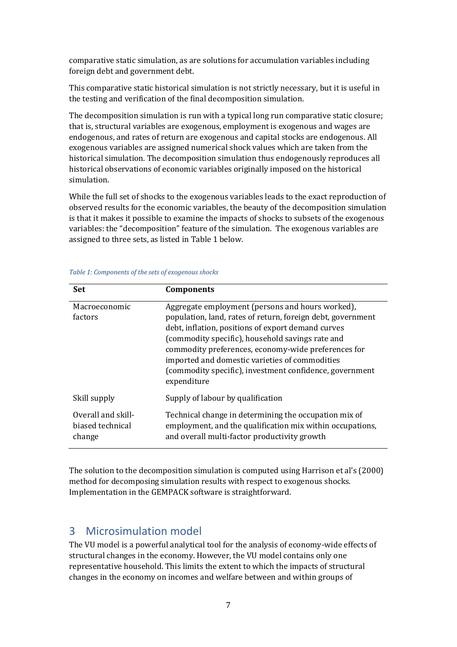comparative static simulation, as are solutions for accumulation variables including foreign debt and government debt.

This comparative static historical simulation is not strictly necessary, but it is useful in the testing and verification of the final decomposition simulation.

The decomposition simulation is run with a typical long run comparative static closure; that is, structural variables are exogenous, employment is exogenous and wages are endogenous, and rates of return are exogenous and capital stocks are endogenous. All exogenous variables are assigned numerical shock values which are taken from the historical simulation. The decomposition simulation thus endogenously reproduces all historical observations of economic variables originally imposed on the historical simulation.

While the full set of shocks to the exogenous variables leads to the exact reproduction of observed results for the economic variables, the beauty of the decomposition simulation is that it makes it possible to examine the impacts of shocks to subsets of the exogenous variables: the "decomposition" feature of the simulation. The exogenous variables are assigned to three sets, as listed i[n Table 1](#page-8-1) below.

| Set                                              | <b>Components</b>                                                                                                                                                                                                                                                                                                                                                                                            |
|--------------------------------------------------|--------------------------------------------------------------------------------------------------------------------------------------------------------------------------------------------------------------------------------------------------------------------------------------------------------------------------------------------------------------------------------------------------------------|
| Macroeconomic<br>factors                         | Aggregate employment (persons and hours worked),<br>population, land, rates of return, foreign debt, government<br>debt, inflation, positions of export demand curves<br>(commodity specific), household savings rate and<br>commodity preferences, economy-wide preferences for<br>imported and domestic varieties of commodities<br>(commodity specific), investment confidence, government<br>expenditure |
| Skill supply                                     | Supply of labour by qualification                                                                                                                                                                                                                                                                                                                                                                            |
| Overall and skill-<br>biased technical<br>change | Technical change in determining the occupation mix of<br>employment, and the qualification mix within occupations,<br>and overall multi-factor productivity growth                                                                                                                                                                                                                                           |

<span id="page-8-1"></span>*Table 1: Components of the sets of exogenous shocks*

The solution to the decomposition simulation is computed using Harrison et al's (2000) method for decomposing simulation results with respect to exogenous shocks. Implementation in the GEMPACK software is straightforward.

# <span id="page-8-0"></span>3 Microsimulation model

The VU model is a powerful analytical tool for the analysis of economy-wide effects of structural changes in the economy. However, the VU model contains only one representative household. This limits the extent to which the impacts of structural changes in the economy on incomes and welfare between and within groups of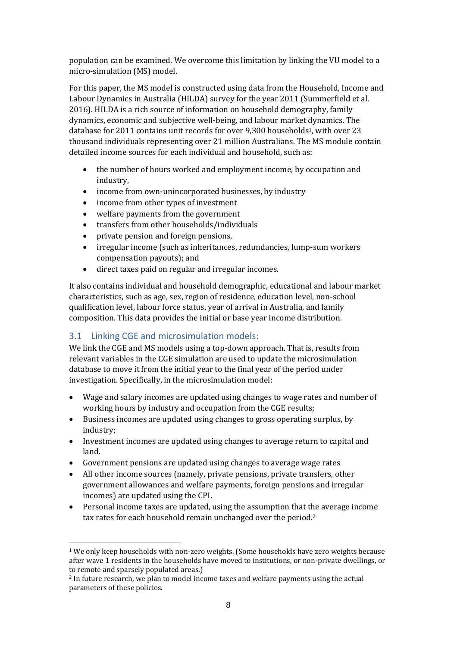population can be examined. We overcome this limitation by linking the VU model to a micro-simulation (MS) model.

For this paper, the MS model is constructed using data from the Household, Income and Labour Dynamics in Australia (HILDA) survey for the year 2011 (Summerfield et al. 2016). HILDA is a rich source of information on household demography, family dynamics, economic and subjective well-being, and labour market dynamics. The database for 2011 contains unit records for over 9,300 households<sup>1</sup>, with over 23 thousand individuals representing over 21 million Australians. The MS module contain detailed income sources for each individual and household, such as:

- the number of hours worked and employment income, by occupation and industry,
- income from own-unincorporated businesses, by industry
- income from other types of investment
- welfare payments from the government
- transfers from other households/individuals
- private pension and foreign pensions,
- irregular income (such as inheritances, redundancies, lump-sum workers compensation payouts); and
- direct taxes paid on regular and irregular incomes.

It also contains individual and household demographic, educational and labour market characteristics, such as age, sex, region of residence, education level, non-school qualification level, labour force status, year of arrival in Australia, and family composition. This data provides the initial or base year income distribution.

# <span id="page-9-0"></span>3.1 Linking CGE and microsimulation models:

We link the CGE and MS models using a top-down approach. That is, results from relevant variables in the CGE simulation are used to update the microsimulation database to move it from the initial year to the final year of the period under investigation. Specifically, in the microsimulation model:

- Wage and salary incomes are updated using changes to wage rates and number of working hours by industry and occupation from the CGE results;
- Business incomes are updated using changes to gross operating surplus, by industry;
- Investment incomes are updated using changes to average return to capital and land.
- Government pensions are updated using changes to average wage rates
- All other income sources (namely, private pensions, private transfers, other government allowances and welfare payments, foreign pensions and irregular incomes) are updated using the CPI.
- Personal income taxes are updated, using the assumption that the average income tax rates for each household remain unchanged over the period.<sup>2</sup>

l <sup>1</sup> We only keep households with non-zero weights. (Some households have zero weights because after wave 1 residents in the households have moved to institutions, or non-private dwellings, or to remote and sparsely populated areas.)

<sup>2</sup> In future research, we plan to model income taxes and welfare payments using the actual parameters of these policies.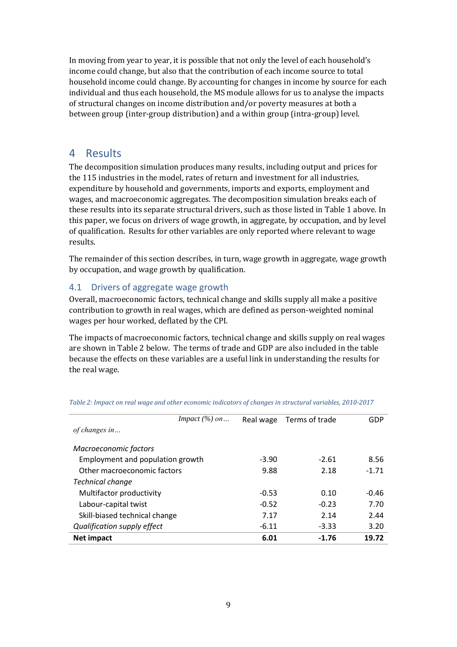In moving from year to year, it is possible that not only the level of each household's income could change, but also that the contribution of each income source to total household income could change. By accounting for changes in income by source for each individual and thus each household, the MS module allows for us to analyse the impacts of structural changes on income distribution and/or poverty measures at both a between group (inter-group distribution) and a within group (intra-group) level.

## <span id="page-10-0"></span>4 Results

The decomposition simulation produces many results, including output and prices for the 115 industries in the model, rates of return and investment for all industries, expenditure by household and governments, imports and exports, employment and wages, and macroeconomic aggregates. The decomposition simulation breaks each of these results into its separate structural drivers, such as those listed in [Table 1](#page-8-1) above. In this paper, we focus on drivers of wage growth, in aggregate, by occupation, and by level of qualification. Results for other variables are only reported where relevant to wage results.

The remainder of this section describes, in turn, wage growth in aggregate, wage growth by occupation, and wage growth by qualification.

## <span id="page-10-1"></span>4.1 Drivers of aggregate wage growth

Overall, macroeconomic factors, technical change and skills supply all make a positive contribution to growth in real wages, which are defined as person-weighted nominal wages per hour worked, deflated by the CPI.

The impacts of macroeconomic factors, technical change and skills supply on real wages are shown in [Table 2](#page-10-2) below. The terms of trade and GDP are also included in the table because the effects on these variables are a useful link in understanding the results for the real wage.

|                                  | Impact $(\%)$ on |         | Real wage Terms of trade | GDP     |
|----------------------------------|------------------|---------|--------------------------|---------|
| of changes in                    |                  |         |                          |         |
| Macroeconomic factors            |                  |         |                          |         |
| Employment and population growth |                  | $-3.90$ | $-2.61$                  | 8.56    |
| Other macroeconomic factors      |                  | 9.88    | 2.18                     | $-1.71$ |
| Technical change                 |                  |         |                          |         |
| Multifactor productivity         |                  | $-0.53$ | 0.10                     | $-0.46$ |
| Labour-capital twist             |                  | $-0.52$ | $-0.23$                  | 7.70    |
| Skill-biased technical change    |                  | 7.17    | 2.14                     | 2.44    |
| Qualification supply effect      |                  | $-6.11$ | $-3.33$                  | 3.20    |
| <b>Net impact</b>                |                  | 6.01    | $-1.76$                  | 19.72   |

<span id="page-10-2"></span>*Table 2: Impact on real wage and other economic indicators of changes in structural variables, 2010-2017*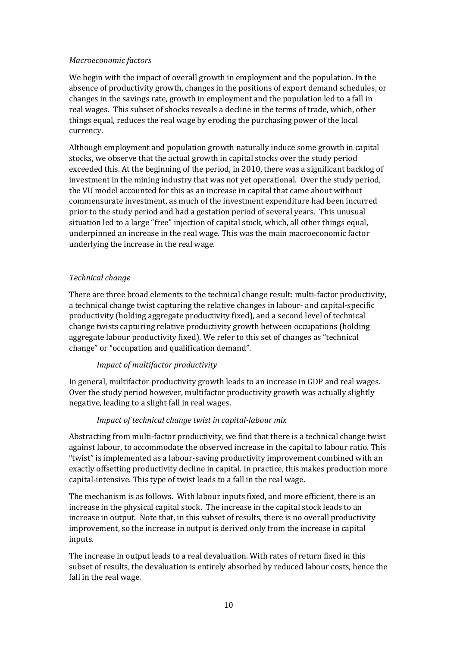#### *Macroeconomic factors*

We begin with the impact of overall growth in employment and the population. In the absence of productivity growth, changes in the positions of export demand schedules, or changes in the savings rate, growth in employment and the population led to a fall in real wages. This subset of shocks reveals a decline in the terms of trade, which, other things equal, reduces the real wage by eroding the purchasing power of the local currency.

Although employment and population growth naturally induce some growth in capital stocks, we observe that the actual growth in capital stocks over the study period exceeded this. At the beginning of the period, in 2010, there was a significant backlog of investment in the mining industry that was not yet operational. Over the study period, the VU model accounted for this as an increase in capital that came about without commensurate investment, as much of the investment expenditure had been incurred prior to the study period and had a gestation period of several years. This unusual situation led to a large "free" injection of capital stock, which, all other things equal, underpinned an increase in the real wage. This was the main macroeconomic factor underlying the increase in the real wage.

#### *Technical change*

There are three broad elements to the technical change result: multi-factor productivity, a technical change twist capturing the relative changes in labour- and capital-specific productivity (holding aggregate productivity fixed), and a second level of technical change twists capturing relative productivity growth between occupations (holding aggregate labour productivity fixed). We refer to this set of changes as "technical change" or "occupation and qualification demand".

#### *Impact of multifactor productivity*

In general, multifactor productivity growth leads to an increase in GDP and real wages. Over the study period however, multifactor productivity growth was actually slightly negative, leading to a slight fall in real wages.

#### *Impact of technical change twist in capital-labour mix*

Abstracting from multi-factor productivity, we find that there is a technical change twist against labour, to accommodate the observed increase in the capital to labour ratio. This "twist" is implemented as a labour-saving productivity improvement combined with an exactly offsetting productivity decline in capital. In practice, this makes production more capital-intensive. This type of twist leads to a fall in the real wage.

The mechanism is as follows. With labour inputs fixed, and more efficient, there is an increase in the physical capital stock. The increase in the capital stock leads to an increase in output. Note that, in this subset of results, there is no overall productivity improvement, so the increase in output is derived only from the increase in capital inputs.

The increase in output leads to a real devaluation. With rates of return fixed in this subset of results, the devaluation is entirely absorbed by reduced labour costs, hence the fall in the real wage.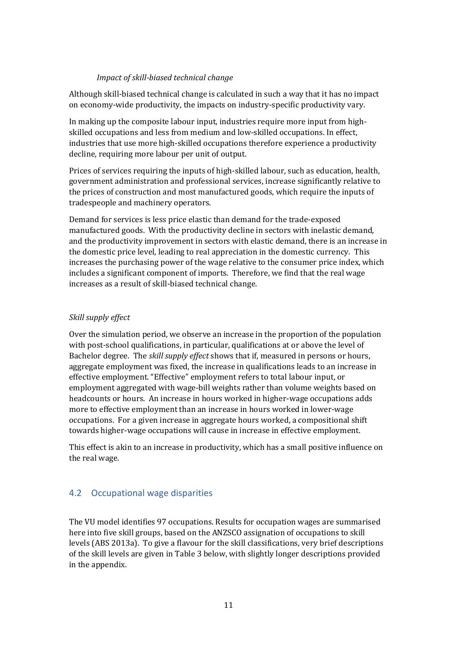#### *Impact of skill-biased technical change*

Although skill-biased technical change is calculated in such a way that it has no impact on economy-wide productivity, the impacts on industry-specific productivity vary.

In making up the composite labour input, industries require more input from highskilled occupations and less from medium and low-skilled occupations. In effect, industries that use more high-skilled occupations therefore experience a productivity decline, requiring more labour per unit of output.

Prices of services requiring the inputs of high-skilled labour, such as education, health, government administration and professional services, increase significantly relative to the prices of construction and most manufactured goods, which require the inputs of tradespeople and machinery operators.

Demand for services is less price elastic than demand for the trade-exposed manufactured goods. With the productivity decline in sectors with inelastic demand, and the productivity improvement in sectors with elastic demand, there is an increase in the domestic price level, leading to real appreciation in the domestic currency. This increases the purchasing power of the wage relative to the consumer price index, which includes a significant component of imports. Therefore, we find that the real wage increases as a result of skill-biased technical change.

#### *Skill supply effect*

Over the simulation period, we observe an increase in the proportion of the population with post-school qualifications, in particular, qualifications at or above the level of Bachelor degree. The *skill supply effect* shows that if, measured in persons or hours, aggregate employment was fixed, the increase in qualifications leads to an increase in effective employment. "Effective" employment refers to total labour input, or employment aggregated with wage-bill weights rather than volume weights based on headcounts or hours. An increase in hours worked in higher-wage occupations adds more to effective employment than an increase in hours worked in lower-wage occupations. For a given increase in aggregate hours worked, a compositional shift towards higher-wage occupations will cause in increase in effective employment.

This effect is akin to an increase in productivity, which has a small positive influence on the real wage.

## <span id="page-12-0"></span>4.2 Occupational wage disparities

The VU model identifies 97 occupations. Results for occupation wages are summarised here into five skill groups, based on the ANZSCO assignation of occupations to skill levels (ABS 2013a). To give a flavour for the skill classifications, very brief descriptions of the skill levels are given in [Table 3](#page-13-0) below, with slightly longer descriptions provided in the appendix.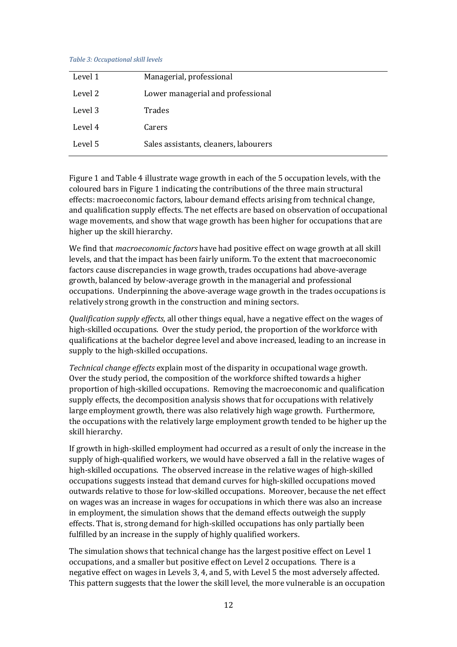#### <span id="page-13-0"></span>*Table 3: Occupational skill levels*

| Level 1 | Managerial, professional              |
|---------|---------------------------------------|
| Level 2 | Lower managerial and professional     |
| Level 3 | <b>Trades</b>                         |
| Level 4 | Carers                                |
| Level 5 | Sales assistants, cleaners, labourers |

[Figure 1](#page-14-0) an[d Table 4](#page-14-1) illustrate wage growth in each of the 5 occupation levels, with the coloured bars i[n Figure 1](#page-14-0) indicating the contributions of the three main structural effects: macroeconomic factors, labour demand effects arising from technical change, and qualification supply effects. The net effects are based on observation of occupational wage movements, and show that wage growth has been higher for occupations that are higher up the skill hierarchy.

We find that *macroeconomic factors* have had positive effect on wage growth at all skill levels, and that the impact has been fairly uniform. To the extent that macroeconomic factors cause discrepancies in wage growth, trades occupations had above-average growth, balanced by below-average growth in the managerial and professional occupations. Underpinning the above-average wage growth in the trades occupations is relatively strong growth in the construction and mining sectors.

*Qualification supply effects*, all other things equal, have a negative effect on the wages of high-skilled occupations. Over the study period, the proportion of the workforce with qualifications at the bachelor degree level and above increased, leading to an increase in supply to the high-skilled occupations.

*Technical change effects* explain most of the disparity in occupational wage growth. Over the study period, the composition of the workforce shifted towards a higher proportion of high-skilled occupations. Removing the macroeconomic and qualification supply effects, the decomposition analysis shows that for occupations with relatively large employment growth, there was also relatively high wage growth. Furthermore, the occupations with the relatively large employment growth tended to be higher up the skill hierarchy.

If growth in high-skilled employment had occurred as a result of only the increase in the supply of high-qualified workers, we would have observed a fall in the relative wages of high-skilled occupations. The observed increase in the relative wages of high-skilled occupations suggests instead that demand curves for high-skilled occupations moved outwards relative to those for low-skilled occupations. Moreover, because the net effect on wages was an increase in wages for occupations in which there was also an increase in employment, the simulation shows that the demand effects outweigh the supply effects. That is, strong demand for high-skilled occupations has only partially been fulfilled by an increase in the supply of highly qualified workers.

The simulation shows that technical change has the largest positive effect on Level 1 occupations, and a smaller but positive effect on Level 2 occupations. There is a negative effect on wages in Levels 3, 4, and 5, with Level 5 the most adversely affected. This pattern suggests that the lower the skill level, the more vulnerable is an occupation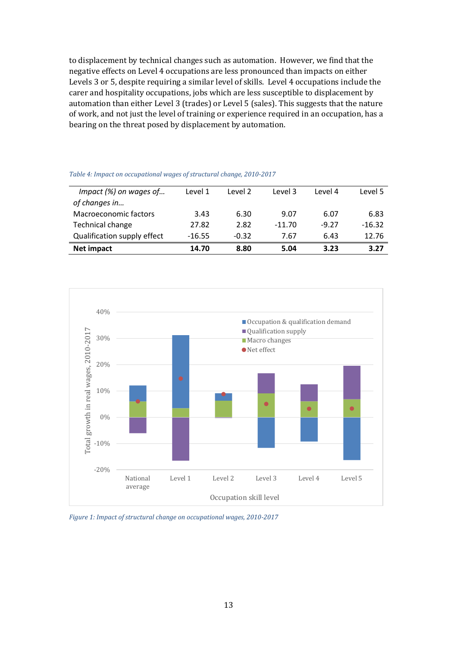to displacement by technical changes such as automation. However, we find that the negative effects on Level 4 occupations are less pronounced than impacts on either Levels 3 or 5, despite requiring a similar level of skills. Level 4 occupations include the carer and hospitality occupations, jobs which are less susceptible to displacement by automation than either Level 3 (trades) or Level 5 (sales). This suggests that the nature of work, and not just the level of training or experience required in an occupation, has a bearing on the threat posed by displacement by automation.

| Qualification supply effect | $-16.55$ | $-0.32$ | 7.67     | 6.43    | 12.76    |
|-----------------------------|----------|---------|----------|---------|----------|
| Technical change            | 27.82    | 2.82    | $-11.70$ | $-9.27$ | $-16.32$ |
| Macroeconomic factors       | 3.43     | 6.30    | 9.07     | 6.07    | 6.83     |
| of changes in               |          |         |          |         |          |
| Impact (%) on wages of      | Level 1  | Level 2 | Level 3  | Level 4 | Level 5  |

<span id="page-14-1"></span>

| Table 4: Impact on occupational wages of structural change, 2010-2017 |  |  |
|-----------------------------------------------------------------------|--|--|
|-----------------------------------------------------------------------|--|--|



<span id="page-14-0"></span>*Figure 1: Impact of structural change on occupational wages, 2010-2017*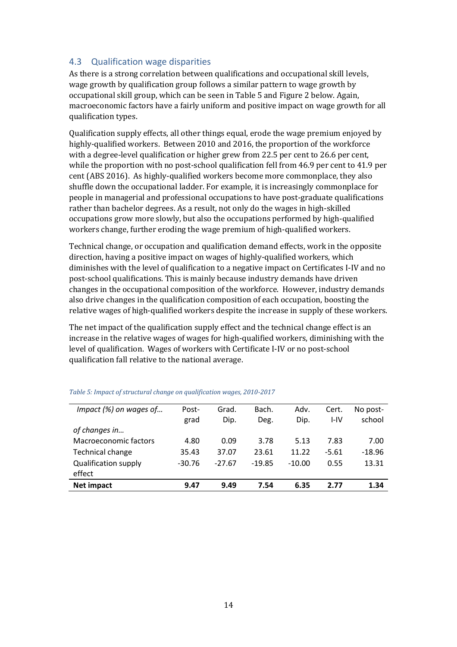#### <span id="page-15-0"></span>4.3 Qualification wage disparities

As there is a strong correlation between qualifications and occupational skill levels, wage growth by qualification group follows a similar pattern to wage growth by occupational skill group, which can be seen i[n Table 5](#page-15-1) an[d Figure 2](#page-16-1) below. Again, macroeconomic factors have a fairly uniform and positive impact on wage growth for all qualification types.

Qualification supply effects, all other things equal, erode the wage premium enjoyed by highly-qualified workers. Between 2010 and 2016, the proportion of the workforce with a degree-level qualification or higher grew from 22.5 per cent to 26.6 per cent, while the proportion with no post-school qualification fell from 46.9 per cent to 41.9 per cent (ABS 2016). As highly-qualified workers become more commonplace, they also shuffle down the occupational ladder. For example, it is increasingly commonplace for people in managerial and professional occupations to have post-graduate qualifications rather than bachelor degrees. As a result, not only do the wages in high-skilled occupations grow more slowly, but also the occupations performed by high-qualified workers change, further eroding the wage premium of high-qualified workers.

Technical change, or occupation and qualification demand effects, work in the opposite direction, having a positive impact on wages of highly-qualified workers, which diminishes with the level of qualification to a negative impact on Certificates I-IV and no post-school qualifications. This is mainly because industry demands have driven changes in the occupational composition of the workforce. However, industry demands also drive changes in the qualification composition of each occupation, boosting the relative wages of high-qualified workers despite the increase in supply of these workers.

The net impact of the qualification supply effect and the technical change effect is an increase in the relative wages of wages for high-qualified workers, diminishing with the level of qualification. Wages of workers with Certificate I-IV or no post-school qualification fall relative to the national average.

| Impact (%) on wages of      | Post-    | Grad.    | Bach.    | Adv.     | Cert.   | No post- |
|-----------------------------|----------|----------|----------|----------|---------|----------|
|                             | grad     | Dip.     | Deg.     | Dip.     | I-IV    | school   |
| of changes in               |          |          |          |          |         |          |
| Macroeconomic factors       | 4.80     | 0.09     | 3.78     | 5.13     | 7.83    | 7.00     |
| Technical change            | 35.43    | 37.07    | 23.61    | 11.22    | $-5.61$ | $-18.96$ |
| <b>Qualification supply</b> | $-30.76$ | $-27.67$ | $-19.85$ | $-10.00$ | 0.55    | 13.31    |
| effect                      |          |          |          |          |         |          |
| <b>Net impact</b>           | 9.47     | 9.49     | 7.54     | 6.35     | 2.77    | 1.34     |
|                             |          |          |          |          |         |          |

#### <span id="page-15-1"></span>*Table 5: Impact of structural change on qualification wages, 2010-2017*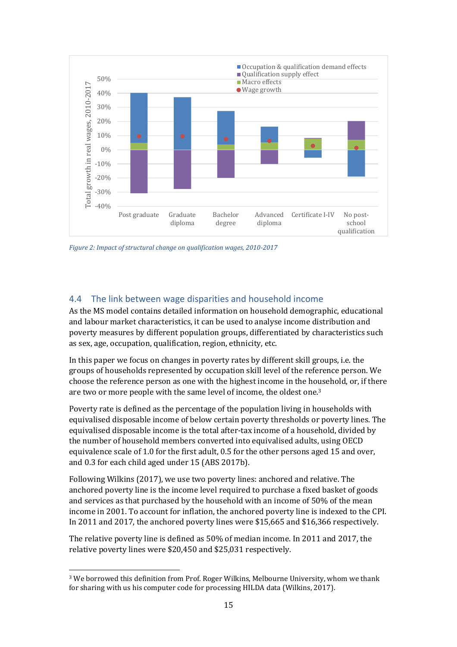

<span id="page-16-1"></span>*Figure 2: Impact of structural change on qualification wages, 2010-2017*

#### <span id="page-16-0"></span>4.4 The link between wage disparities and household income

As the MS model contains detailed information on household demographic, educational and labour market characteristics, it can be used to analyse income distribution and poverty measures by different population groups, differentiated by characteristics such as sex, age, occupation, qualification, region, ethnicity, etc.

In this paper we focus on changes in poverty rates by different skill groups, i.e. the groups of households represented by occupation skill level of the reference person. We choose the reference person as one with the highest income in the household, or, if there are two or more people with the same level of income, the oldest one.<sup>3</sup>

Poverty rate is defined as the percentage of the population living in households with equivalised disposable income of below certain poverty thresholds or poverty lines. The equivalised disposable income is the total after-tax income of a household, divided by the number of household members converted into equivalised adults, using OECD equivalence scale of 1.0 for the first adult, 0.5 for the other persons aged 15 and over, and 0.3 for each child aged under 15 (ABS 2017b).

Following Wilkins (2017), we use two poverty lines: anchored and relative. The anchored poverty line is the income level required to purchase a fixed basket of goods and services as that purchased by the household with an income of 50% of the mean income in 2001. To account for inflation, the anchored poverty line is indexed to the CPI. In 2011 and 2017, the anchored poverty lines were \$15,665 and \$16,366 respectively.

The relative poverty line is defined as 50% of median income. In 2011 and 2017, the relative poverty lines were \$20,450 and \$25,031 respectively.

 $\overline{\phantom{0}}$ 

<sup>3</sup> We borrowed this definition from Prof. Roger Wilkins, Melbourne University, whom we thank for sharing with us his computer code for processing HILDA data (Wilkins, 2017).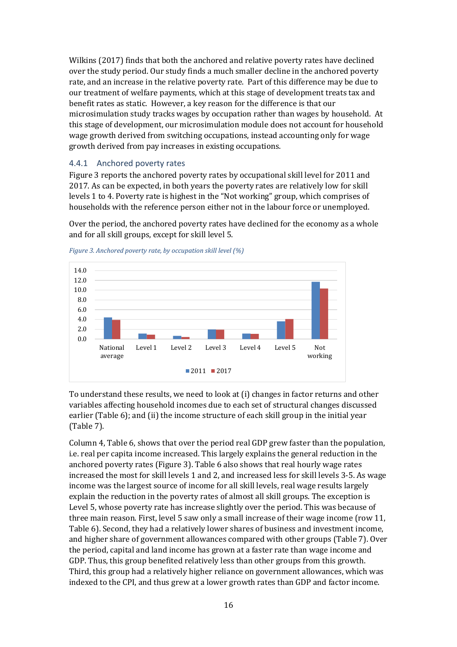Wilkins (2017) finds that both the anchored and relative poverty rates have declined over the study period. Our study finds a much smaller decline in the anchored poverty rate, and an increase in the relative poverty rate. Part of this difference may be due to our treatment of welfare payments, which at this stage of development treats tax and benefit rates as static. However, a key reason for the difference is that our microsimulation study tracks wages by occupation rather than wages by household. At this stage of development, our microsimulation module does not account for household wage growth derived from switching occupations, instead accounting only for wage growth derived from pay increases in existing occupations.

#### <span id="page-17-0"></span>4.4.1 Anchored poverty rates

[Figure 3](#page-17-1) reports the anchored poverty rates by occupational skill level for 2011 and 2017. As can be expected, in both years the poverty rates are relatively low for skill levels 1 to 4. Poverty rate is highest in the "Not working" group, which comprises of households with the reference person either not in the labour force or unemployed.

Over the period, the anchored poverty rates have declined for the economy as a whole and for all skill groups, except for skill level 5.



<span id="page-17-1"></span>*Figure 3. Anchored poverty rate, by occupation skill level (%)*

To understand these results, we need to look at (i) changes in factor returns and other variables affecting household incomes due to each set of structural changes discussed earlier [\(Table 6\)](#page-18-1); and (ii) the income structure of each skill group in the initial year [\(Table 7\)](#page-18-2).

Column 4[, Table 6,](#page-18-1) shows that over the period real GDP grew faster than the population, i.e. real per capita income increased. This largely explains the general reduction in the anchored poverty rates [\(Figure 3\)](#page-17-1). [Table 6](#page-18-1) also shows that real hourly wage rates increased the most for skill levels 1 and 2, and increased less for skill levels 3-5. As wage income was the largest source of income for all skill levels, real wage results largely explain the reduction in the poverty rates of almost all skill groups. The exception is Level 5, whose poverty rate has increase slightly over the period. This was because of three main reason. First, level 5 saw only a small increase of their wage income (row 11, [Table 6\)](#page-18-1). Second, they had a relatively lower shares of business and investment income, and higher share of government allowances compared with other groups [\(Table 7\)](#page-18-2). Over the period, capital and land income has grown at a faster rate than wage income and GDP. Thus, this group benefited relatively less than other groups from this growth. Third, this group had a relatively higher reliance on government allowances, which was indexed to the CPI, and thus grew at a lower growth rates than GDP and factor income.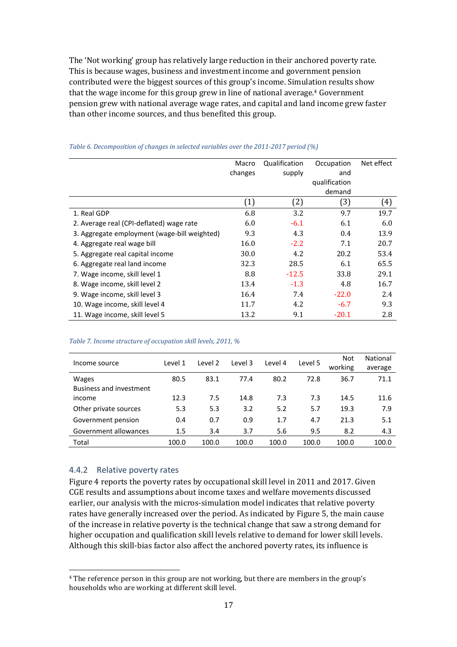The 'Not working' group has relatively large reduction in their anchored poverty rate. This is because wages, business and investment income and government pension contributed were the biggest sources of this group's income. Simulation results show that the wage income for this group grew in line of national average.<sup>4</sup> Government pension grew with national average wage rates, and capital and land income grew faster than other income sources, and thus benefited this group.

|                                              | Macro   | Qualification | Occupation    | Net effect |
|----------------------------------------------|---------|---------------|---------------|------------|
|                                              | changes | supply        | and           |            |
|                                              |         |               | qualification |            |
|                                              |         |               | demand        |            |
|                                              | (1)     | (2)           | (3)           | (4)        |
| 1. Real GDP                                  | 6.8     | 3.2           | 9.7           | 19.7       |
| 2. Average real (CPI-deflated) wage rate     | 6.0     | $-6.1$        | 6.1           | 6.0        |
| 3. Aggregate employment (wage-bill weighted) | 9.3     | 4.3           | 0.4           | 13.9       |
| 4. Aggregate real wage bill                  | 16.0    | $-2.2$        | 7.1           | 20.7       |
| 5. Aggregate real capital income             | 30.0    | 4.2           | 20.2          | 53.4       |
| 6. Aggregate real land income                | 32.3    | 28.5          | 6.1           | 65.5       |
| 7. Wage income, skill level 1                | 8.8     | $-12.5$       | 33.8          | 29.1       |
| 8. Wage income, skill level 2                | 13.4    | $-1.3$        | 4.8           | 16.7       |
| 9. Wage income, skill level 3                | 16.4    | 7.4           | $-22.0$       | 2.4        |
| 10. Wage income, skill level 4               | 11.7    | 4.2           | $-6.7$        | 9.3        |
| 11. Wage income, skill level 5               | 13.2    | 9.1           | $-20.1$       | 2.8        |

#### <span id="page-18-1"></span>*Table 6. Decomposition of changes in selected variables over the 2011-2017 period (%)*

#### <span id="page-18-2"></span>*Table 7. Income structure of occupation skill levels, 2011, %*

|                                | Level 1 | Level 2 | Level 3<br>Level 4 |       | Level 5 | <b>Not</b> | National |
|--------------------------------|---------|---------|--------------------|-------|---------|------------|----------|
| Income source                  |         |         |                    |       | working | average    |          |
| <b>Wages</b>                   | 80.5    | 83.1    | 77.4               | 80.2  | 72.8    | 36.7       | 71.1     |
| <b>Business and investment</b> |         |         |                    |       |         |            |          |
| income                         | 12.3    | 7.5     | 14.8               | 7.3   | 7.3     | 14.5       | 11.6     |
| Other private sources          | 5.3     | 5.3     | 3.2                | 5.2   | 5.7     | 19.3       | 7.9      |
| Government pension             | 0.4     | 0.7     | 0.9                | 1.7   | 4.7     | 21.3       | 5.1      |
| Government allowances          | 1.5     | 3.4     | 3.7                | 5.6   | 9.5     | 8.2        | 4.3      |
| Total                          | 100.0   | 100.0   | 100.0              | 100.0 | 100.0   | 100.0      | 100.0    |

#### <span id="page-18-0"></span>4.4.2 Relative poverty rates

 $\overline{\phantom{0}}$ 

[Figure 4](#page-19-0) reports the poverty rates by occupational skill level in 2011 and 2017. Given CGE results and assumptions about income taxes and welfare movements discussed earlier, our analysis with the micros-simulation model indicates that relative poverty rates have generally increased over the period. As indicated by [Figure 5,](#page-19-1) the main cause of the increase in relative poverty is the technical change that saw a strong demand for higher occupation and qualification skill levels relative to demand for lower skill levels. Although this skill-bias factor also affect the anchored poverty rates, its influence is

<sup>4</sup> The reference person in this group are not working, but there are members in the group's households who are working at different skill level.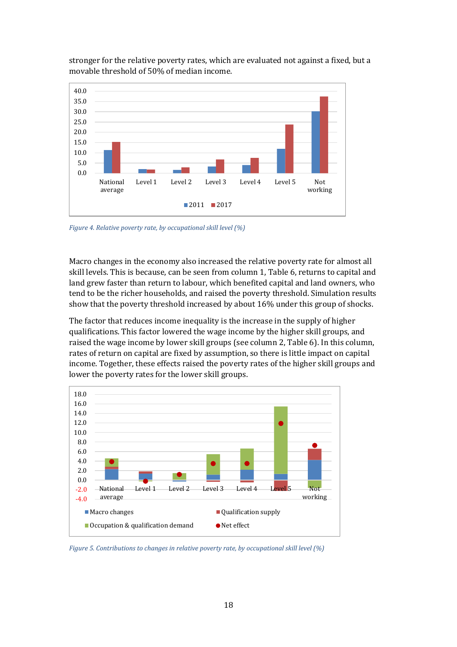

stronger for the relative poverty rates, which are evaluated not against a fixed, but a movable threshold of 50% of median income.

<span id="page-19-0"></span>*Figure 4. Relative poverty rate, by occupational skill level (%)*

Macro changes in the economy also increased the relative poverty rate for almost all skill levels. This is because, can be seen from column 1, [Table 6,](#page-18-1) returns to capital and land grew faster than return to labour, which benefited capital and land owners, who tend to be the richer households, and raised the poverty threshold. Simulation results show that the poverty threshold increased by about 16% under this group of shocks.

The factor that reduces income inequality is the increase in the supply of higher qualifications. This factor lowered the wage income by the higher skill groups, and raised the wage income by lower skill groups (see column 2, [Table 6\)](#page-18-1). In this column, rates of return on capital are fixed by assumption, so there is little impact on capital income. Together, these effects raised the poverty rates of the higher skill groups and lower the poverty rates for the lower skill groups.



<span id="page-19-1"></span>*Figure 5. Contributions to changes in relative poverty rate, by occupational skill level (%)*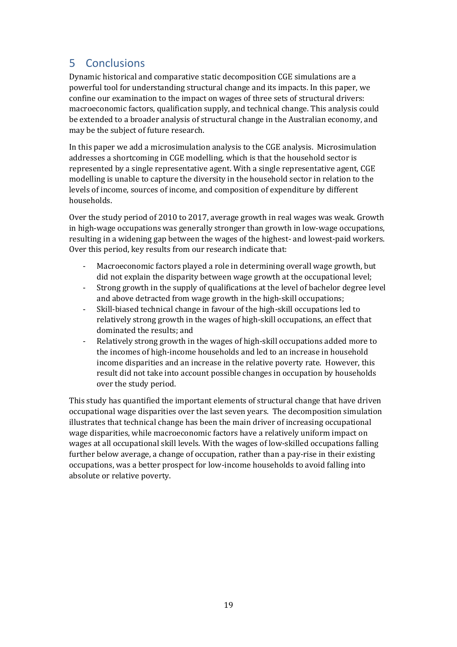# <span id="page-20-0"></span>5 Conclusions

Dynamic historical and comparative static decomposition CGE simulations are a powerful tool for understanding structural change and its impacts. In this paper, we confine our examination to the impact on wages of three sets of structural drivers: macroeconomic factors, qualification supply, and technical change. This analysis could be extended to a broader analysis of structural change in the Australian economy, and may be the subject of future research.

In this paper we add a microsimulation analysis to the CGE analysis. Microsimulation addresses a shortcoming in CGE modelling, which is that the household sector is represented by a single representative agent. With a single representative agent, CGE modelling is unable to capture the diversity in the household sector in relation to the levels of income, sources of income, and composition of expenditure by different households.

Over the study period of 2010 to 2017, average growth in real wages was weak. Growth in high-wage occupations was generally stronger than growth in low-wage occupations, resulting in a widening gap between the wages of the highest- and lowest-paid workers. Over this period, key results from our research indicate that:

- Macroeconomic factors played a role in determining overall wage growth, but did not explain the disparity between wage growth at the occupational level;
- Strong growth in the supply of qualifications at the level of bachelor degree level and above detracted from wage growth in the high-skill occupations;
- Skill-biased technical change in favour of the high-skill occupations led to relatively strong growth in the wages of high-skill occupations, an effect that dominated the results; and
- Relatively strong growth in the wages of high-skill occupations added more to the incomes of high-income households and led to an increase in household income disparities and an increase in the relative poverty rate. However, this result did not take into account possible changes in occupation by households over the study period.

This study has quantified the important elements of structural change that have driven occupational wage disparities over the last seven years. The decomposition simulation illustrates that technical change has been the main driver of increasing occupational wage disparities, while macroeconomic factors have a relatively uniform impact on wages at all occupational skill levels. With the wages of low-skilled occupations falling further below average, a change of occupation, rather than a pay-rise in their existing occupations, was a better prospect for low-income households to avoid falling into absolute or relative poverty.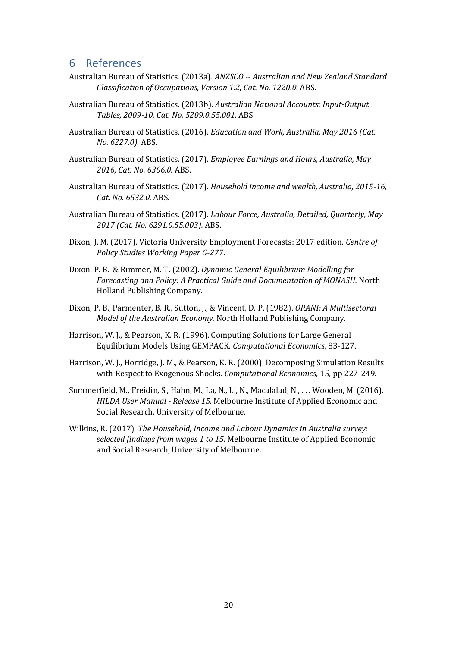## <span id="page-21-0"></span>6 References

- Australian Bureau of Statistics. (2013a). *ANZSCO -- Australian and New Zealand Standard Classification of Occupations, Version 1.2, Cat. No. 1220.0.* ABS.
- Australian Bureau of Statistics. (2013b). *Australian National Accounts: Input-Output Tables, 2009-10, Cat. No. 5209.0.55.001.* ABS.
- Australian Bureau of Statistics. (2016). *Education and Work, Australia, May 2016 (Cat. No. 6227.0).* ABS.
- Australian Bureau of Statistics. (2017). *Employee Earnings and Hours, Australia, May 2016, Cat. No. 6306.0.* ABS.
- Australian Bureau of Statistics. (2017). *Household income and wealth, Australia, 2015-16, Cat. No. 6532.0.* ABS.
- Australian Bureau of Statistics. (2017). *Labour Force, Australia, Detailed, Quarterly, May 2017 (Cat. No. 6291.0.55.003).* ABS.
- Dixon, J. M. (2017). Victoria University Employment Forecasts: 2017 edition. *Centre of Policy Studies Working Paper G-277*.
- Dixon, P. B., & Rimmer, M. T. (2002). *Dynamic General Equilibrium Modelling for Forecasting and Policy: A Practical Guide and Documentation of MONASH.* North Holland Publishing Company.
- Dixon, P. B., Parmenter, B. R., Sutton, J., & Vincent, D. P. (1982). *ORANI: A Multisectoral Model of the Australian Economy.* North Holland Publishing Company.
- Harrison, W. J., & Pearson, K. R. (1996). Computing Solutions for Large General Equilibrium Models Using GEMPACK. *Computational Economics*, 83-127.
- Harrison, W. J., Horridge, J. M., & Pearson, K. R. (2000). Decomposing Simulation Results with Respect to Exogenous Shocks. *Computational Economics*, 15, pp 227-249.
- Summerfield, M., Freidin, S., Hahn, M., La, N., Li, N., Macalalad, N., . . . Wooden, M. (2016). *HILDA User Manual - Release 15.* Melbourne Institute of Applied Economic and Social Research, University of Melbourne.
- Wilkins, R. (2017). *The Household, Income and Labour Dynamics in Australia survey: selected findings from wages 1 to 15.* Melbourne Institute of Applied Economic and Social Research, University of Melbourne.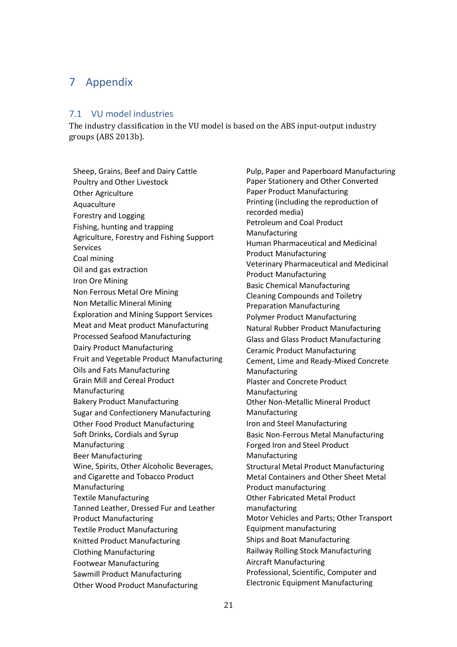# <span id="page-22-0"></span>7 Appendix

#### <span id="page-22-1"></span>7.1 VU model industries

The industry classification in the VU model is based on the ABS input-output industry groups (ABS 2013b).

Sheep, Grains, Beef and Dairy Cattle Poultry and Other Livestock Other Agriculture Aquaculture Forestry and Logging Fishing, hunting and trapping Agriculture, Forestry and Fishing Support Services Coal mining Oil and gas extraction Iron Ore Mining Non Ferrous Metal Ore Mining Non Metallic Mineral Mining Exploration and Mining Support Services Meat and Meat product Manufacturing Processed Seafood Manufacturing Dairy Product Manufacturing Fruit and Vegetable Product Manufacturing Oils and Fats Manufacturing Grain Mill and Cereal Product Manufacturing Bakery Product Manufacturing Sugar and Confectionery Manufacturing Other Food Product Manufacturing Soft Drinks, Cordials and Syrup Manufacturing Beer Manufacturing Wine, Spirits, Other Alcoholic Beverages, and Cigarette and Tobacco Product Manufacturing Textile Manufacturing Tanned Leather, Dressed Fur and Leather Product Manufacturing Textile Product Manufacturing Knitted Product Manufacturing Clothing Manufacturing Footwear Manufacturing Sawmill Product Manufacturing Other Wood Product Manufacturing

Pulp, Paper and Paperboard Manufacturing Paper Stationery and Other Converted Paper Product Manufacturing Printing (including the reproduction of recorded media) Petroleum and Coal Product Manufacturing Human Pharmaceutical and Medicinal Product Manufacturing Veterinary Pharmaceutical and Medicinal Product Manufacturing Basic Chemical Manufacturing Cleaning Compounds and Toiletry Preparation Manufacturing Polymer Product Manufacturing Natural Rubber Product Manufacturing Glass and Glass Product Manufacturing Ceramic Product Manufacturing Cement, Lime and Ready-Mixed Concrete Manufacturing Plaster and Concrete Product Manufacturing Other Non-Metallic Mineral Product Manufacturing Iron and Steel Manufacturing Basic Non-Ferrous Metal Manufacturing Forged Iron and Steel Product Manufacturing Structural Metal Product Manufacturing Metal Containers and Other Sheet Metal Product manufacturing Other Fabricated Metal Product manufacturing Motor Vehicles and Parts; Other Transport Equipment manufacturing Ships and Boat Manufacturing Railway Rolling Stock Manufacturing Aircraft Manufacturing Professional, Scientific, Computer and Electronic Equipment Manufacturing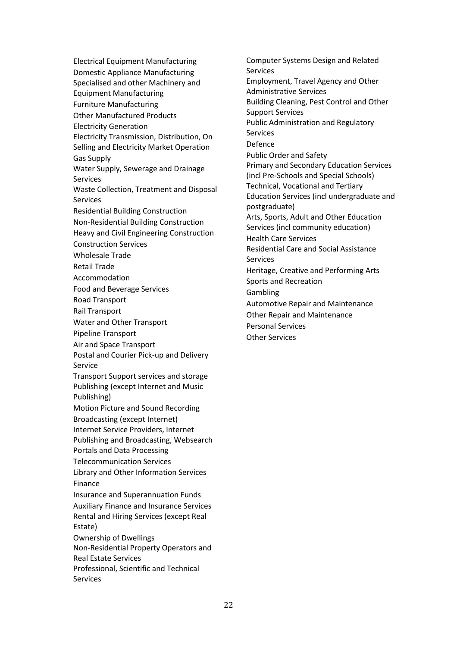Electrical Equipment Manufacturing Domestic Appliance Manufacturing Specialised and other Machinery and Equipment Manufacturing Furniture Manufacturing Other Manufactured Products Electricity Generation Electricity Transmission, Distribution, On Selling and Electricity Market Operation Gas Supply Water Supply, Sewerage and Drainage Services Waste Collection, Treatment and Disposal Services Residential Building Construction Non-Residential Building Construction Heavy and Civil Engineering Construction Construction Services Wholesale Trade Retail Trade Accommodation Food and Beverage Services Road Transport Rail Transport Water and Other Transport Pipeline Transport Air and Space Transport Postal and Courier Pick-up and Delivery Service Transport Support services and storage Publishing (except Internet and Music Publishing) Motion Picture and Sound Recording Broadcasting (except Internet) Internet Service Providers, Internet Publishing and Broadcasting, Websearch Portals and Data Processing Telecommunication Services Library and Other Information Services Finance Insurance and Superannuation Funds Auxiliary Finance and Insurance Services Rental and Hiring Services (except Real Estate) Ownership of Dwellings Non-Residential Property Operators and Real Estate Services Professional, Scientific and Technical Services

Computer Systems Design and Related **Services** Employment, Travel Agency and Other Administrative Services Building Cleaning, Pest Control and Other Support Services Public Administration and Regulatory Services Defence Public Order and Safety Primary and Secondary Education Services (incl Pre-Schools and Special Schools) Technical, Vocational and Tertiary Education Services (incl undergraduate and postgraduate) Arts, Sports, Adult and Other Education Services (incl community education) Health Care Services Residential Care and Social Assistance Services Heritage, Creative and Performing Arts Sports and Recreation Gambling Automotive Repair and Maintenance Other Repair and Maintenance Personal Services Other Services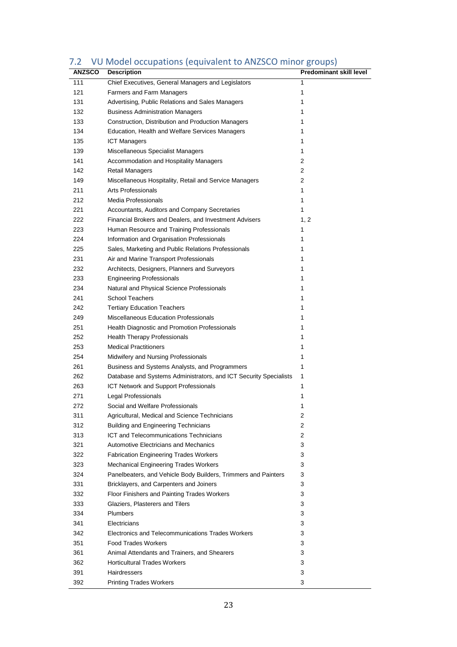| <b>ANZSCO</b> | <b>Description</b>                                                | <b>Predominant skill level</b> |
|---------------|-------------------------------------------------------------------|--------------------------------|
| 111           | Chief Executives, General Managers and Legislators                | 1                              |
| 121           | <b>Farmers and Farm Managers</b>                                  | 1                              |
| 131           | Advertising, Public Relations and Sales Managers                  | 1                              |
| 132           | <b>Business Administration Managers</b>                           | 1                              |
| 133           | Construction, Distribution and Production Managers                | 1                              |
| 134           | Education, Health and Welfare Services Managers                   | 1                              |
| 135           | <b>ICT Managers</b>                                               | 1                              |
| 139           | Miscellaneous Specialist Managers                                 | 1                              |
| 141           | Accommodation and Hospitality Managers                            | 2                              |
| 142           | <b>Retail Managers</b>                                            | 2                              |
| 149           | Miscellaneous Hospitality, Retail and Service Managers            | 2                              |
| 211           | <b>Arts Professionals</b>                                         | 1                              |
| 212           | Media Professionals                                               | 1                              |
| 221           | Accountants, Auditors and Company Secretaries                     | 1                              |
| 222           | Financial Brokers and Dealers, and Investment Advisers            | 1, 2                           |
| 223           | Human Resource and Training Professionals                         | 1                              |
| 224           | Information and Organisation Professionals                        | 1                              |
| 225           | Sales, Marketing and Public Relations Professionals               | 1                              |
| 231           | Air and Marine Transport Professionals                            | 1                              |
| 232           | Architects, Designers, Planners and Surveyors                     | 1                              |
| 233           | <b>Engineering Professionals</b>                                  | 1                              |
| 234           | Natural and Physical Science Professionals                        | 1                              |
| 241           | <b>School Teachers</b>                                            | 1                              |
| 242           | <b>Tertiary Education Teachers</b>                                | 1                              |
| 249           | Miscellaneous Education Professionals                             | 1                              |
| 251           | Health Diagnostic and Promotion Professionals                     | 1                              |
| 252           | <b>Health Therapy Professionals</b>                               | 1                              |
| 253           | <b>Medical Practitioners</b>                                      | 1                              |
| 254           | Midwifery and Nursing Professionals                               | 1                              |
| 261           | Business and Systems Analysts, and Programmers                    | 1                              |
| 262           | Database and Systems Administrators, and ICT Security Specialists | 1                              |
| 263           | ICT Network and Support Professionals                             | 1                              |
| 271           | Legal Professionals                                               | 1                              |
| 272           | Social and Welfare Professionals                                  | 1                              |
| 311           | Agricultural, Medical and Science Technicians                     | 2                              |
| 312           | <b>Building and Engineering Technicians</b>                       | 2                              |
| 313           | ICT and Telecommunications Technicians                            | 2                              |
| 321           | <b>Automotive Electricians and Mechanics</b>                      | 3                              |
| 322           | <b>Fabrication Engineering Trades Workers</b>                     | 3                              |
| 323           | <b>Mechanical Engineering Trades Workers</b>                      | 3                              |
| 324           | Panelbeaters, and Vehicle Body Builders, Trimmers and Painters    | 3                              |
| 331           | Bricklayers, and Carpenters and Joiners                           | 3                              |
| 332           | Floor Finishers and Painting Trades Workers                       | 3                              |
| 333           | Glaziers, Plasterers and Tilers                                   | 3                              |
| 334           | <b>Plumbers</b>                                                   | 3                              |
| 341           | Electricians                                                      | 3                              |
| 342           | Electronics and Telecommunications Trades Workers                 | 3                              |
| 351           | <b>Food Trades Workers</b>                                        | 3                              |
| 361           | Animal Attendants and Trainers, and Shearers                      | 3                              |
| 362           | <b>Horticultural Trades Workers</b>                               | 3                              |
| 391           | Hairdressers                                                      | 3                              |
| 392           | <b>Printing Trades Workers</b>                                    | 3                              |

# <span id="page-24-0"></span>7.2 VU Model occupations (equivalent to ANZSCO minor groups)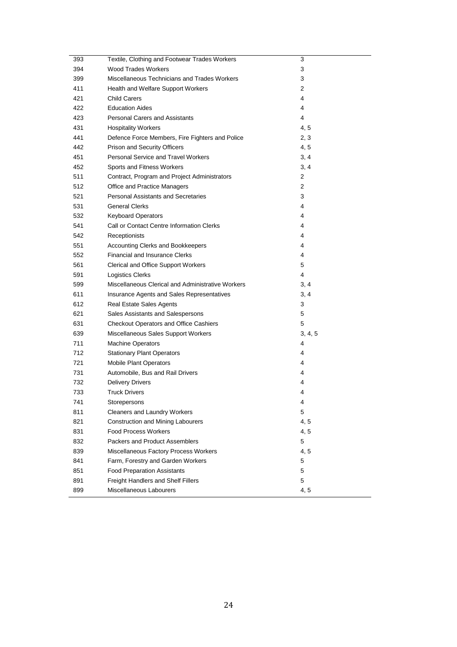| 393 | Textile, Clothing and Footwear Trades Workers     | 3       |
|-----|---------------------------------------------------|---------|
| 394 | <b>Wood Trades Workers</b>                        | 3       |
| 399 | Miscellaneous Technicians and Trades Workers      | 3       |
| 411 | Health and Welfare Support Workers                | 2       |
| 421 | <b>Child Carers</b>                               | 4       |
| 422 | <b>Education Aides</b>                            | 4       |
| 423 | <b>Personal Carers and Assistants</b>             | 4       |
| 431 | <b>Hospitality Workers</b>                        | 4, 5    |
| 441 | Defence Force Members, Fire Fighters and Police   | 2, 3    |
| 442 | Prison and Security Officers                      | 4, 5    |
| 451 | <b>Personal Service and Travel Workers</b>        | 3, 4    |
| 452 | Sports and Fitness Workers                        | 3, 4    |
| 511 | Contract, Program and Project Administrators      | 2       |
| 512 | Office and Practice Managers                      | 2       |
| 521 | <b>Personal Assistants and Secretaries</b>        | 3       |
| 531 | <b>General Clerks</b>                             | 4       |
| 532 | <b>Keyboard Operators</b>                         | 4       |
| 541 | Call or Contact Centre Information Clerks         | 4       |
| 542 | Receptionists                                     | 4       |
| 551 | Accounting Clerks and Bookkeepers                 | 4       |
| 552 | <b>Financial and Insurance Clerks</b>             | 4       |
| 561 | <b>Clerical and Office Support Workers</b>        | 5       |
| 591 | Logistics Clerks                                  | 4       |
| 599 | Miscellaneous Clerical and Administrative Workers | 3, 4    |
| 611 | Insurance Agents and Sales Representatives        | 3, 4    |
| 612 | Real Estate Sales Agents                          | 3       |
| 621 | Sales Assistants and Salespersons                 | 5       |
| 631 | <b>Checkout Operators and Office Cashiers</b>     | 5       |
| 639 | Miscellaneous Sales Support Workers               | 3, 4, 5 |
| 711 | <b>Machine Operators</b>                          | 4       |
| 712 | <b>Stationary Plant Operators</b>                 | 4       |
| 721 | <b>Mobile Plant Operators</b>                     | 4       |
| 731 | Automobile, Bus and Rail Drivers                  | 4       |
| 732 | <b>Delivery Drivers</b>                           | 4       |
| 733 | <b>Truck Drivers</b>                              | 4       |
| 741 | Storepersons                                      | 4       |
| 811 | Cleaners and Laundry Workers                      | 5       |
| 821 | <b>Construction and Mining Labourers</b>          | 4, 5    |
| 831 | <b>Food Process Workers</b>                       | 4, 5    |
| 832 | Packers and Product Assemblers                    | 5       |
| 839 | Miscellaneous Factory Process Workers             | 4, 5    |
| 841 | Farm, Forestry and Garden Workers                 | 5       |
| 851 | <b>Food Preparation Assistants</b>                | 5       |
| 891 | Freight Handlers and Shelf Fillers                | 5       |
| 899 | Miscellaneous Labourers                           | 4, 5    |
|     |                                                   |         |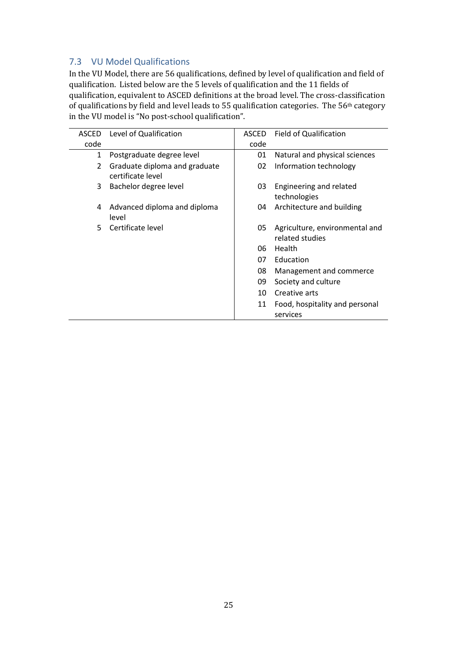## <span id="page-26-0"></span>7.3 VU Model Qualifications

In the VU Model, there are 56 qualifications, defined by level of qualification and field of qualification. Listed below are the 5 levels of qualification and the 11 fields of qualification, equivalent to ASCED definitions at the broad level. The cross-classification of qualifications by field and level leads to 55 qualification categories. The 56<sup>th</sup> category in the VU model is "No post-school qualification".

|      | ASCED Level of Qualification                       | <b>ASCED</b> | <b>Field of Qualification</b>                     |
|------|----------------------------------------------------|--------------|---------------------------------------------------|
| code |                                                    | code         |                                                   |
| 1    | Postgraduate degree level                          | 01           | Natural and physical sciences                     |
| 2    | Graduate diploma and graduate<br>certificate level | 02           | Information technology                            |
| 3    | Bachelor degree level                              | 03           | Engineering and related<br>technologies           |
| 4    | Advanced diploma and diploma<br>level              | 04           | Architecture and building                         |
| 5.   | Certificate level                                  | 05           | Agriculture, environmental and<br>related studies |
|      |                                                    | 06           | Health                                            |
|      |                                                    | 07           | Education                                         |
|      |                                                    | 08           | Management and commerce                           |
|      |                                                    | 09           | Society and culture                               |
|      |                                                    | 10           | Creative arts                                     |
|      |                                                    | 11           | Food, hospitality and personal                    |
|      |                                                    |              | services                                          |